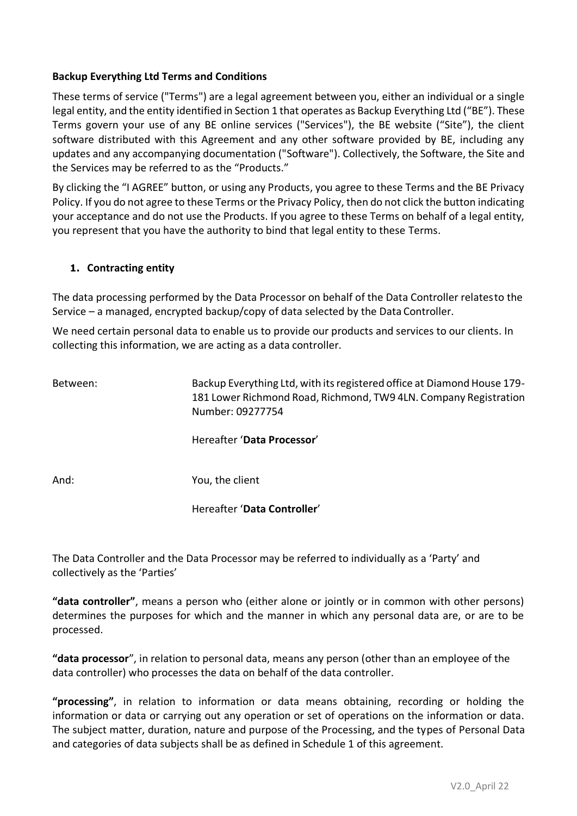# **Backup Everything Ltd Terms and Conditions**

These terms of service ("Terms") are a legal agreement between you, either an individual or a single legal entity, and the entity identified in Section 1 that operates as Backup Everything Ltd ("BE"). These Terms govern your use of any BE online services ("Services"), the BE website ("Site"), the client software distributed with this Agreement and any other software provided by BE, including any updates and any accompanying documentation ("Software"). Collectively, the Software, the Site and the Services may be referred to as the "Products."

By clicking the "I AGREE" button, or using any Products, you agree to these Terms and the BE Privacy Policy. If you do not agree to these Terms or the Privacy Policy, then do not click the button indicating your acceptance and do not use the Products. If you agree to these Terms on behalf of a legal entity, you represent that you have the authority to bind that legal entity to these Terms.

# **1. Contracting entity**

The data processing performed by the Data Processor on behalf of the Data Controller relatesto the Service – a managed, encrypted backup/copy of data selected by the Data Controller.

We need certain personal data to enable us to provide our products and services to our clients. In collecting this information, we are acting as a data controller.

Between: Backup Everything Ltd, with its registered office at Diamond House 179- 181 Lower Richmond Road, Richmond, TW9 4LN. Company Registration Number: 09277754

Hereafter '**Data Processor**'

And: You, the client

Hereafter '**Data Controller**'

The Data Controller and the Data Processor may be referred to individually as a 'Party' and collectively as the 'Parties'

**"data controller"**, means a person who (either alone or jointly or in common with other persons) determines the purposes for which and the manner in which any personal data are, or are to be processed.

**"data processor**", in relation to personal data, means any person (other than an employee of the data controller) who processes the data on behalf of the data controller.

**"processing"**, in relation to information or data means obtaining, recording or holding the information or data or carrying out any operation or set of operations on the information or data. The subject matter, duration, nature and purpose of the Processing, and the types of Personal Data and categories of data subjects shall be as defined in Schedule 1 of this agreement.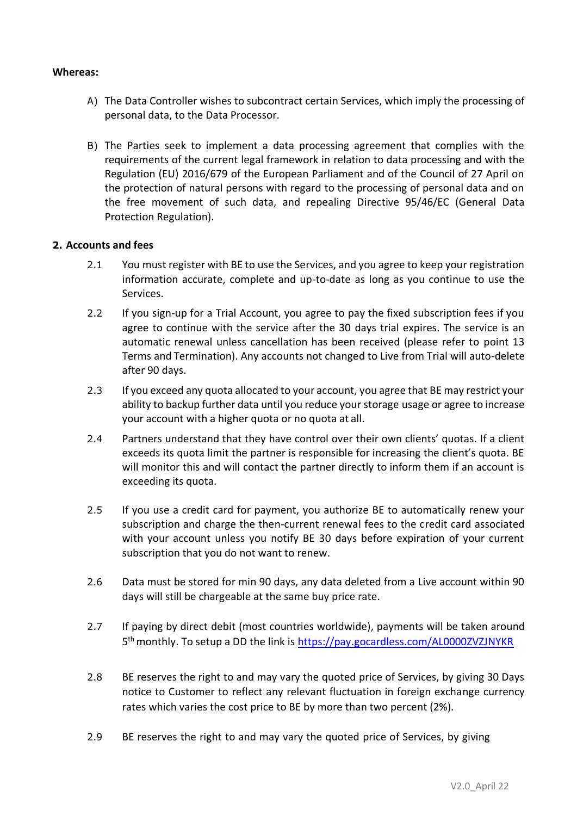### **Whereas:**

- A) The Data Controller wishes to subcontract certain Services, which imply the processing of personal data, to the Data Processor.
- B) The Parties seek to implement a data processing agreement that complies with the requirements of the current legal framework in relation to data processing and with the Regulation (EU) 2016/679 of the European Parliament and of the Council of 27 April on the protection of natural persons with regard to the processing of personal data and on the free movement of such data, and repealing Directive 95/46/EC (General Data Protection Regulation).

### **2. Accounts and fees**

- 2.1 You must register with BE to use the Services, and you agree to keep your registration information accurate, complete and up-to-date as long as you continue to use the Services.
- 2.2 If you sign-up for a Trial Account, you agree to pay the fixed subscription fees if you agree to continue with the service after the 30 days trial expires. The service is an automatic renewal unless cancellation has been received (please refer to point 13 Terms and Termination). Any accounts not changed to Live from Trial will auto-delete after 90 days.
- 2.3 If you exceed any quota allocated to your account, you agree that BE may restrict your ability to backup further data until you reduce your storage usage or agree to increase your account with a higher quota or no quota at all.
- 2.4 Partners understand that they have control over their own clients' quotas. If a client exceeds its quota limit the partner is responsible for increasing the client's quota. BE will monitor this and will contact the partner directly to inform them if an account is exceeding its quota.
- 2.5 If you use a credit card for payment, you authorize BE to automatically renew your subscription and charge the then-current renewal fees to the credit card associated with your account unless you notify BE 30 days before expiration of your current subscription that you do not want to renew.
- 2.6 Data must be stored for min 90 days, any data deleted from a Live account within 90 days will still be chargeable at the same buy price rate.
- 2.7 If paying by direct debit (most countries worldwide), payments will be taken around 5<sup>th</sup> monthly. To setup a DD the link is<https://pay.gocardless.com/AL0000ZVZJNYKR>
- 2.8 BE reserves the right to and may vary the quoted price of Services, by giving 30 Days notice to Customer to reflect any relevant fluctuation in foreign exchange currency rates which varies the cost price to BE by more than two percent (2%).
- 2.9 BE reserves the right to and may vary the quoted price of Services, by giving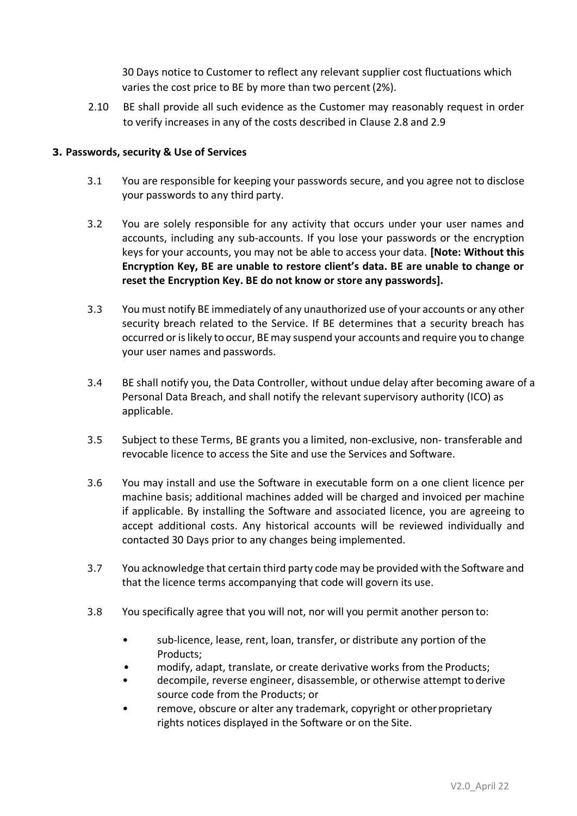30 Days notice to Customer to reflect any relevant supplier cost fluctuations which varies the cost price to BE by more than two percent (2%).

2.10 BE shall provide all such evidence as the Customer may reasonably request in order to verify increases in any of the costs described in Clause 2.8 and 2.9

# **3. Passwords, security & Use of Services**

- 3.1 You are responsible for keeping your passwords secure, and you agree not to disclose your passwords to any third party.
- 3.2 You are solely responsible for any activity that occurs under your user names and accounts, including any sub-accounts. If you lose your passwords or the encryption keys for your accounts, you may not be able to access your data. **[Note: Without this Encryption Key, BE are unable to restore client's data. BE are unable to change or reset the Encryption Key. BE do not know or store any passwords].**
- 3.3 You must notify BE immediately of any unauthorized use of your accounts or any other security breach related to the Service. If BE determines that a security breach has occurred or is likely to occur, BE may suspend your accounts and require you to change your user names and passwords.
- 3.4 BE shall notify you, the Data Controller, without undue delay after becoming aware of a Personal Data Breach, and shall notify the relevant supervisory authority (ICO) as applicable.
- 3.5 Subject to these Terms, BE grants you a limited, non-exclusive, non- transferable and revocable licence to access the Site and use the Services and Software.
- 3.6 You may install and use the Software in executable form on a one client licence per machine basis; additional machines added will be charged and invoiced per machine if applicable. By installing the Software and associated licence, you are agreeing to accept additional costs. Any historical accounts will be reviewed individually and contacted 30 Days prior to any changes being implemented.
- 3.7 You acknowledge that certain third party code may be provided with the Software and that the licence terms accompanying that code will govern its use.
- 3.8 You specifically agree that you will not, nor will you permit another person to:
	- sub-licence, lease, rent, loan, transfer, or distribute any portion of the Products;
	- modify, adapt, translate, or create derivative works from the Products;
	- decompile, reverse engineer, disassemble, or otherwise attempt toderive source code from the Products; or
	- remove, obscure or alter any trademark, copyright or other proprietary rights notices displayed in the Software or on the Site.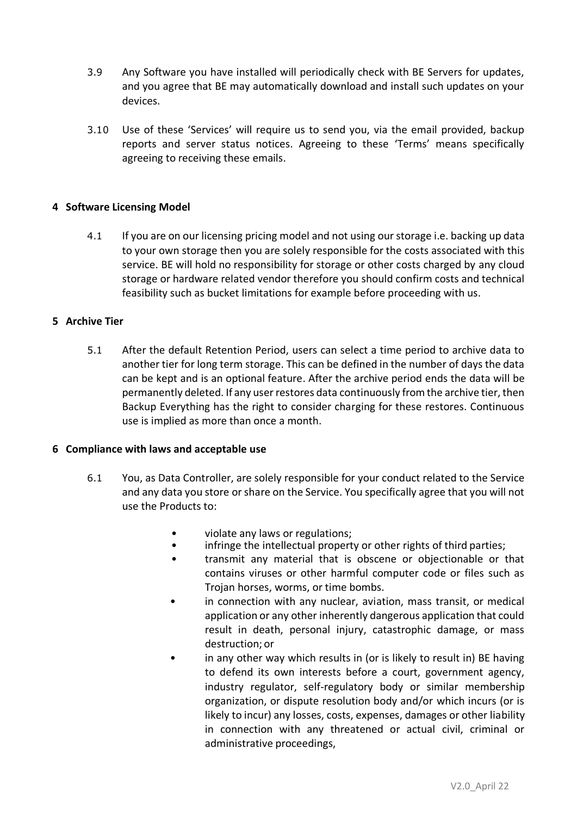- 3.9 Any Software you have installed will periodically check with BE Servers for updates, and you agree that BE may automatically download and install such updates on your devices.
- 3.10 Use of these 'Services' will require us to send you, via the email provided, backup reports and server status notices. Agreeing to these 'Terms' means specifically agreeing to receiving these emails.

# **4 Software Licensing Model**

4.1 If you are on our licensing pricing model and not using our storage i.e. backing up data to your own storage then you are solely responsible for the costs associated with this service. BE will hold no responsibility for storage or other costs charged by any cloud storage or hardware related vendor therefore you should confirm costs and technical feasibility such as bucket limitations for example before proceeding with us.

### **5 Archive Tier**

5.1 After the default Retention Period, users can select a time period to archive data to another tier for long term storage. This can be defined in the number of days the data can be kept and is an optional feature. After the archive period ends the data will be permanently deleted. If any user restores data continuously from the archive tier, then Backup Everything has the right to consider charging for these restores. Continuous use is implied as more than once a month.

### **6 Compliance with laws and acceptable use**

- 6.1 You, as Data Controller, are solely responsible for your conduct related to the Service and any data you store or share on the Service. You specifically agree that you will not use the Products to:
	- violate any laws or regulations;
	- infringe the intellectual property or other rights of third parties;
	- transmit any material that is obscene or objectionable or that contains viruses or other harmful computer code or files such as Trojan horses, worms, or time bombs.
	- in connection with any nuclear, aviation, mass transit, or medical application or any other inherently dangerous application that could result in death, personal injury, catastrophic damage, or mass destruction; or
	- in any other way which results in (or is likely to result in) BE having to defend its own interests before a court, government agency, industry regulator, self-regulatory body or similar membership organization, or dispute resolution body and/or which incurs (or is likely to incur) any losses, costs, expenses, damages or other liability in connection with any threatened or actual civil, criminal or administrative proceedings,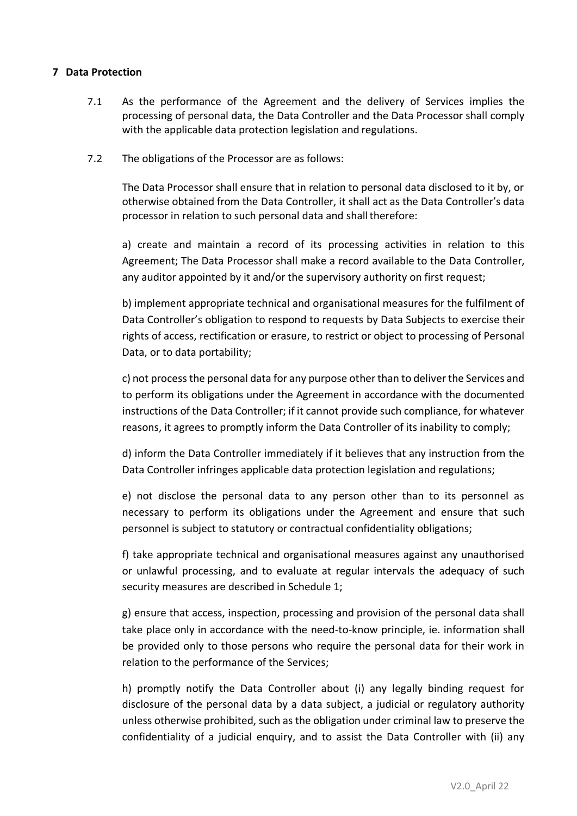# **7 Data Protection**

- 7.1 As the performance of the Agreement and the delivery of Services implies the processing of personal data, the Data Controller and the Data Processor shall comply with the applicable data protection legislation and regulations.
- 7.2 The obligations of the Processor are as follows:

The Data Processor shall ensure that in relation to personal data disclosed to it by, or otherwise obtained from the Data Controller, it shall act as the Data Controller's data processor in relation to such personal data and shall therefore:

a) create and maintain a record of its processing activities in relation to this Agreement; The Data Processor shall make a record available to the Data Controller, any auditor appointed by it and/or the supervisory authority on first request;

b) implement appropriate technical and organisational measures for the fulfilment of Data Controller's obligation to respond to requests by Data Subjects to exercise their rights of access, rectification or erasure, to restrict or object to processing of Personal Data, or to data portability;

c) not process the personal data for any purpose other than to deliver the Services and to perform its obligations under the Agreement in accordance with the documented instructions of the Data Controller; if it cannot provide such compliance, for whatever reasons, it agrees to promptly inform the Data Controller of its inability to comply;

d) inform the Data Controller immediately if it believes that any instruction from the Data Controller infringes applicable data protection legislation and regulations;

e) not disclose the personal data to any person other than to its personnel as necessary to perform its obligations under the Agreement and ensure that such personnel is subject to statutory or contractual confidentiality obligations;

f) take appropriate technical and organisational measures against any unauthorised or unlawful processing, and to evaluate at regular intervals the adequacy of such security measures are described in Schedule 1;

g) ensure that access, inspection, processing and provision of the personal data shall take place only in accordance with the need-to-know principle, ie. information shall be provided only to those persons who require the personal data for their work in relation to the performance of the Services;

h) promptly notify the Data Controller about (i) any legally binding request for disclosure of the personal data by a data subject, a judicial or regulatory authority unless otherwise prohibited, such as the obligation under criminal law to preserve the confidentiality of a judicial enquiry, and to assist the Data Controller with (ii) any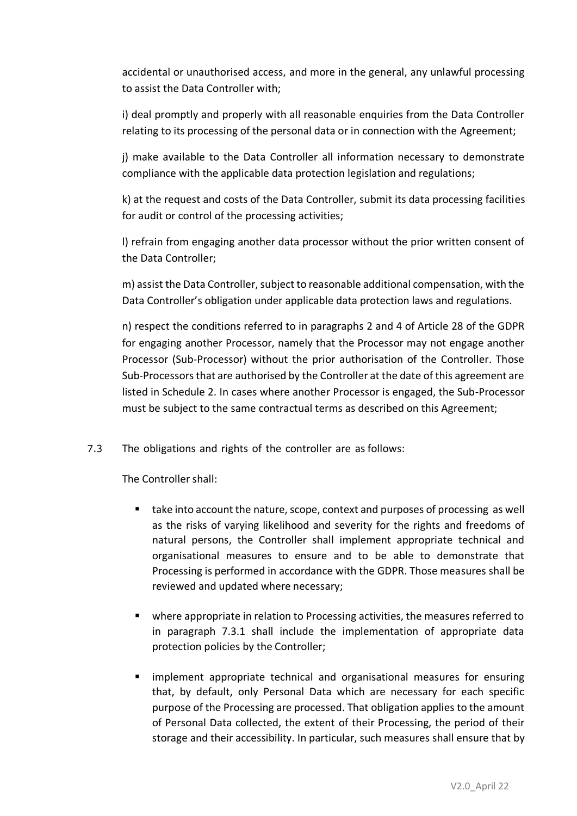accidental or unauthorised access, and more in the general, any unlawful processing to assist the Data Controller with;

i) deal promptly and properly with all reasonable enquiries from the Data Controller relating to its processing of the personal data or in connection with the Agreement;

j) make available to the Data Controller all information necessary to demonstrate compliance with the applicable data protection legislation and regulations;

k) at the request and costs of the Data Controller, submit its data processing facilities for audit or control of the processing activities;

l) refrain from engaging another data processor without the prior written consent of the Data Controller;

m) assist the Data Controller, subject to reasonable additional compensation, with the Data Controller's obligation under applicable data protection laws and regulations.

n) respect the conditions referred to in paragraphs 2 and 4 of Article 28 of the GDPR for engaging another Processor, namely that the Processor may not engage another Processor (Sub-Processor) without the prior authorisation of the Controller. Those Sub-Processors that are authorised by the Controller at the date of this agreement are listed in Schedule 2. In cases where another Processor is engaged, the Sub-Processor must be subject to the same contractual terms as described on this Agreement;

7.3 The obligations and rights of the controller are as follows:

The Controller shall:

- take into account the nature, scope, context and purposes of processing as well as the risks of varying likelihood and severity for the rights and freedoms of natural persons, the Controller shall implement appropriate technical and organisational measures to ensure and to be able to demonstrate that Processing is performed in accordance with the GDPR. Those measures shall be reviewed and updated where necessary;
- where appropriate in relation to Processing activities, the measures referred to in paragraph 7.3.1 shall include the implementation of appropriate data protection policies by the Controller;
- **E** implement appropriate technical and organisational measures for ensuring that, by default, only Personal Data which are necessary for each specific purpose of the Processing are processed. That obligation applies to the amount of Personal Data collected, the extent of their Processing, the period of their storage and their accessibility. In particular, such measures shall ensure that by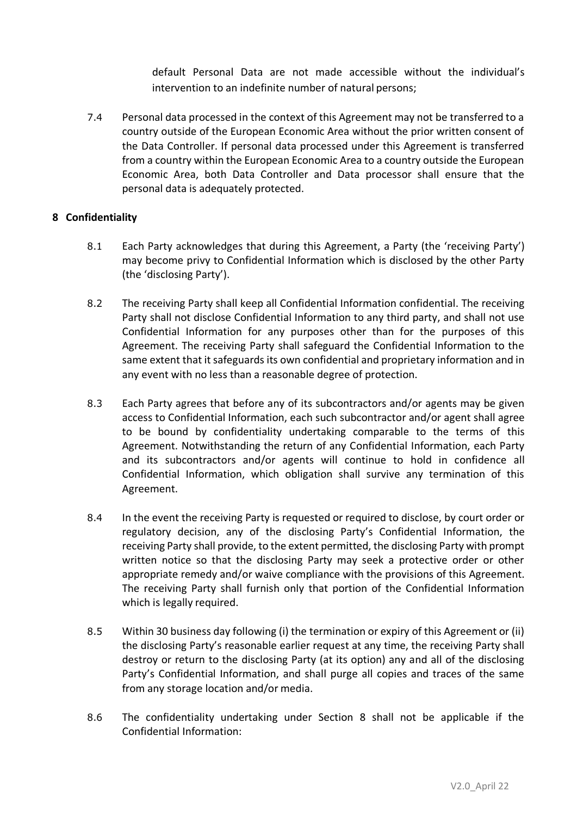default Personal Data are not made accessible without the individual's intervention to an indefinite number of natural persons;

7.4 Personal data processed in the context of this Agreement may not be transferred to a country outside of the European Economic Area without the prior written consent of the Data Controller. If personal data processed under this Agreement is transferred from a country within the European Economic Area to a country outside the European Economic Area, both Data Controller and Data processor shall ensure that the personal data is adequately protected.

### **8 Confidentiality**

- 8.1 Each Party acknowledges that during this Agreement, a Party (the 'receiving Party') may become privy to Confidential Information which is disclosed by the other Party (the 'disclosing Party').
- 8.2 The receiving Party shall keep all Confidential Information confidential. The receiving Party shall not disclose Confidential Information to any third party, and shall not use Confidential Information for any purposes other than for the purposes of this Agreement. The receiving Party shall safeguard the Confidential Information to the same extent that it safeguards its own confidential and proprietary information and in any event with no less than a reasonable degree of protection.
- 8.3 Each Party agrees that before any of its subcontractors and/or agents may be given access to Confidential Information, each such subcontractor and/or agent shall agree to be bound by confidentiality undertaking comparable to the terms of this Agreement. Notwithstanding the return of any Confidential Information, each Party and its subcontractors and/or agents will continue to hold in confidence all Confidential Information, which obligation shall survive any termination of this Agreement.
- 8.4 In the event the receiving Party is requested or required to disclose, by court order or regulatory decision, any of the disclosing Party's Confidential Information, the receiving Party shall provide, to the extent permitted, the disclosing Party with prompt written notice so that the disclosing Party may seek a protective order or other appropriate remedy and/or waive compliance with the provisions of this Agreement. The receiving Party shall furnish only that portion of the Confidential Information which is legally required.
- 8.5 Within 30 business day following (i) the termination or expiry of this Agreement or (ii) the disclosing Party's reasonable earlier request at any time, the receiving Party shall destroy or return to the disclosing Party (at its option) any and all of the disclosing Party's Confidential Information, and shall purge all copies and traces of the same from any storage location and/or media.
- 8.6 The confidentiality undertaking under Section 8 shall not be applicable if the Confidential Information: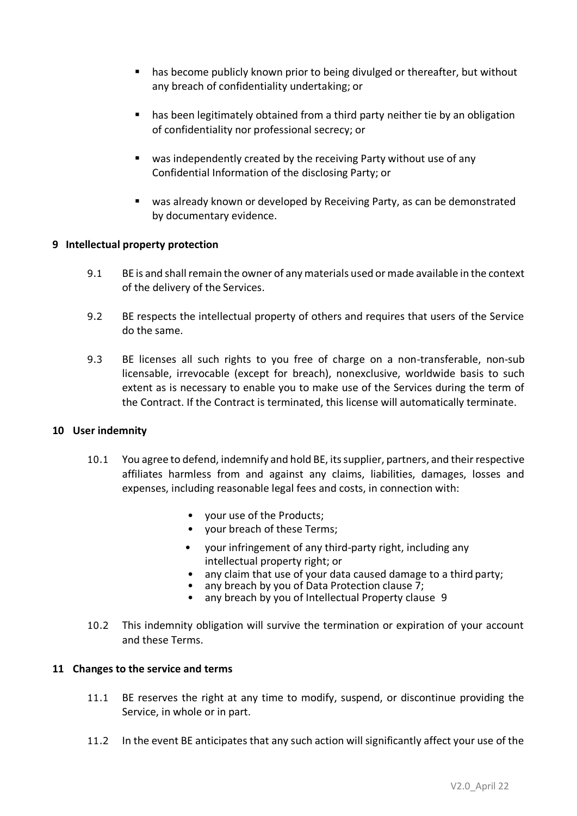- has become publicly known prior to being divulged or thereafter, but without any breach of confidentiality undertaking; or
- has been legitimately obtained from a third party neither tie by an obligation of confidentiality nor professional secrecy; or
- was independently created by the receiving Party without use of any Confidential Information of the disclosing Party; or
- was already known or developed by Receiving Party, as can be demonstrated by documentary evidence.

### **9 Intellectual property protection**

- 9.1 BE is and shall remain the owner of any materials used or made available in the context of the delivery of the Services.
- 9.2 BE respects the intellectual property of others and requires that users of the Service do the same.
- 9.3 BE licenses all such rights to you free of charge on a non-transferable, non-sub licensable, irrevocable (except for breach), nonexclusive, worldwide basis to such extent as is necessary to enable you to make use of the Services during the term of the Contract. If the Contract is terminated, this license will automatically terminate.

#### **10 User indemnity**

- 10.1 You agree to defend, indemnify and hold BE, its supplier, partners, and their respective affiliates harmless from and against any claims, liabilities, damages, losses and expenses, including reasonable legal fees and costs, in connection with:
	- your use of the Products;
	- your breach of these Terms;
	- your infringement of any third-party right, including any intellectual property right; or
	- any claim that use of your data caused damage to a third party;
	- any breach by you of Data Protection clause  $\overline{7}$ ;
	- any breach by you of Intellectual Property clause 9
- 10.2 This indemnity obligation will survive the termination or expiration of your account and these Terms.

#### **11 Changes to the service and terms**

- 11.1 BE reserves the right at any time to modify, suspend, or discontinue providing the Service, in whole or in part.
- 11.2 In the event BE anticipates that any such action will significantly affect your use of the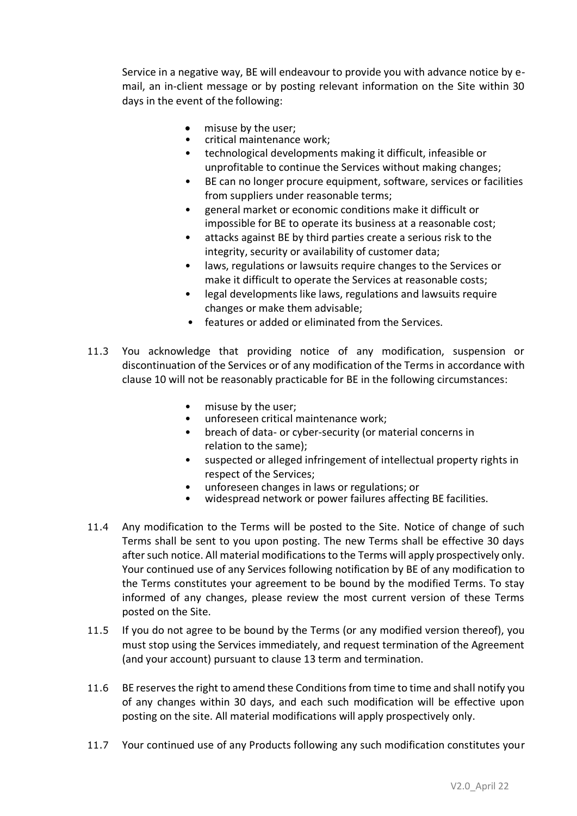Service in a negative way, BE will endeavour to provide you with advance notice by email, an in-client message or by posting relevant information on the Site within 30 days in the event of the following:

- misuse by the user;
- critical maintenance work;
- technological developments making it difficult, infeasible or unprofitable to continue the Services without making changes;
- BE can no longer procure equipment, software, services or facilities from suppliers under reasonable terms;
- general market or economic conditions make it difficult or impossible for BE to operate its business at a reasonable cost;
- attacks against BE by third parties create a serious risk to the integrity, security or availability of customer data;
- laws, regulations or lawsuits require changes to the Services or make it difficult to operate the Services at reasonable costs;
- legal developments like laws, regulations and lawsuits require changes or make them advisable;
- features or added or eliminated from the Services.
- 11.3 You acknowledge that providing notice of any modification, suspension or discontinuation of the Services or of any modification of the Terms in accordance with clause 10 will not be reasonably practicable for BE in the following circumstances:
	- misuse by the user;
	- unforeseen critical maintenance work;
	- breach of data- or cyber-security (or material concerns in relation to the same);
	- suspected or alleged infringement of intellectual property rights in respect of the Services;
	- unforeseen changes in laws or regulations; or
	- widespread network or power failures affecting BE facilities.
- 11.4 Any modification to the Terms will be posted to the Site. Notice of change of such Terms shall be sent to you upon posting. The new Terms shall be effective 30 days after such notice. All material modifications to the Terms will apply prospectively only. Your continued use of any Services following notification by BE of any modification to the Terms constitutes your agreement to be bound by the modified Terms. To stay informed of any changes, please review the most current version of these Terms posted on the Site.
- 11.5 If you do not agree to be bound by the Terms (or any modified version thereof), you must stop using the Services immediately, and request termination of the Agreement (and your account) pursuant to clause 13 term and termination.
- 11.6 BE reserves the right to amend these Conditions from time to time and shall notify you of any changes within 30 days, and each such modification will be effective upon posting on the site. All material modifications will apply prospectively only.
- 11.7 Your continued use of any Products following any such modification constitutes your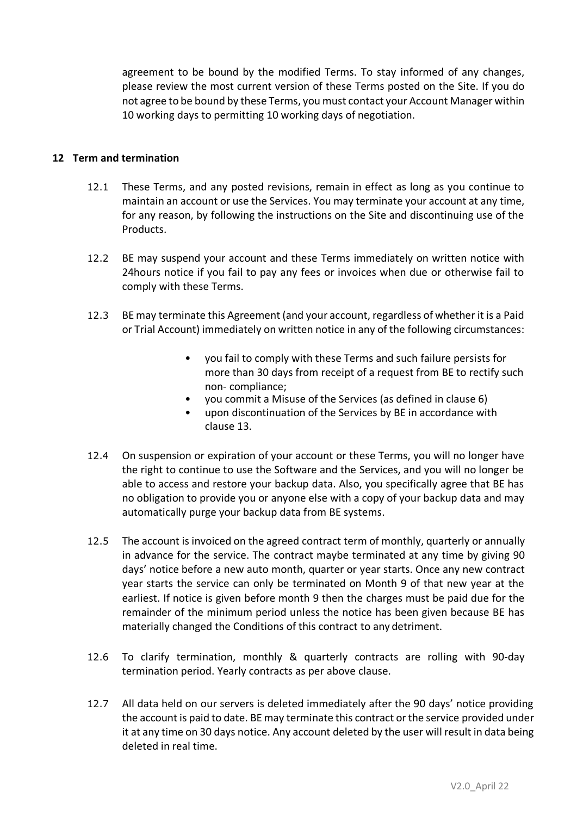agreement to be bound by the modified Terms. To stay informed of any changes, please review the most current version of these Terms posted on the Site. If you do not agree to be bound by these Terms, you must contact your Account Manager within 10 working days to permitting 10 working days of negotiation.

### **12 Term and termination**

- 12.1 These Terms, and any posted revisions, remain in effect as long as you continue to maintain an account or use the Services. You may terminate your account at any time, for any reason, by following the instructions on the Site and discontinuing use of the Products.
- 12.2 BE may suspend your account and these Terms immediately on written notice with 24hours notice if you fail to pay any fees or invoices when due or otherwise fail to comply with these Terms.
- 12.3 BE may terminate this Agreement (and your account, regardless of whether it is a Paid or Trial Account) immediately on written notice in any of the following circumstances:
	- you fail to comply with these Terms and such failure persists for more than 30 days from receipt of a request from BE to rectify such non- compliance;
	- you commit a Misuse of the Services (as defined in clause 6)
	- upon discontinuation of the Services by BE in accordance with clause 13.
- 12.4 On suspension or expiration of your account or these Terms, you will no longer have the right to continue to use the Software and the Services, and you will no longer be able to access and restore your backup data. Also, you specifically agree that BE has no obligation to provide you or anyone else with a copy of your backup data and may automatically purge your backup data from BE systems.
- 12.5 The account is invoiced on the agreed contract term of monthly, quarterly or annually in advance for the service. The contract maybe terminated at any time by giving 90 days' notice before a new auto month, quarter or year starts. Once any new contract year starts the service can only be terminated on Month 9 of that new year at the earliest. If notice is given before month 9 then the charges must be paid due for the remainder of the minimum period unless the notice has been given because BE has materially changed the Conditions of this contract to any detriment.
- 12.6 To clarify termination, monthly & quarterly contracts are rolling with 90-day termination period. Yearly contracts as per above clause.
- 12.7 All data held on our servers is deleted immediately after the 90 days' notice providing the account is paid to date. BE may terminate this contract or the service provided under it at any time on 30 days notice. Any account deleted by the user will result in data being deleted in real time.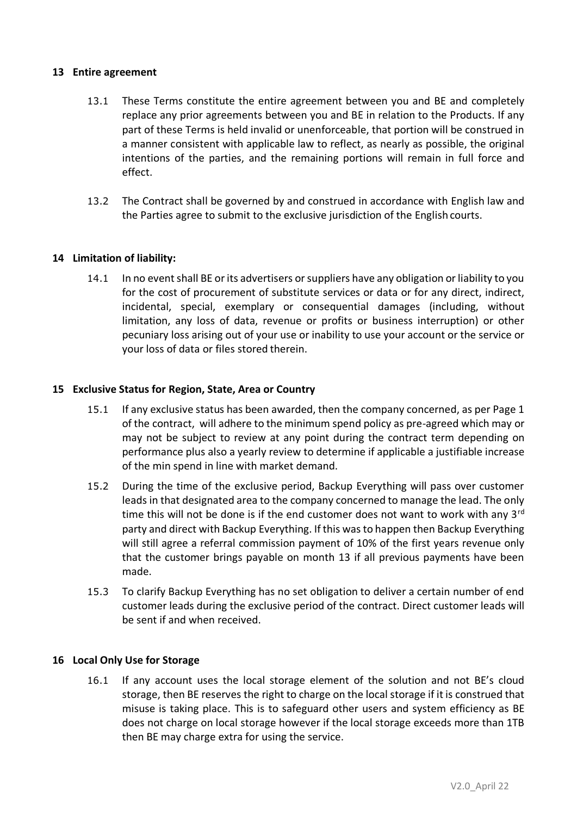### **13 Entire agreement**

- 13.1 These Terms constitute the entire agreement between you and BE and completely replace any prior agreements between you and BE in relation to the Products. If any part of these Terms is held invalid or unenforceable, that portion will be construed in a manner consistent with applicable law to reflect, as nearly as possible, the original intentions of the parties, and the remaining portions will remain in full force and effect.
- 13.2 The Contract shall be governed by and construed in accordance with English law and the Parties agree to submit to the exclusive jurisdiction of the English courts.

### **14 Limitation of liability:**

14.1 In no event shall BE or its advertisers or suppliers have any obligation or liability to you for the cost of procurement of substitute services or data or for any direct, indirect, incidental, special, exemplary or consequential damages (including, without limitation, any loss of data, revenue or profits or business interruption) or other pecuniary loss arising out of your use or inability to use your account or the service or your loss of data or files stored therein.

### **15 Exclusive Status for Region, State, Area or Country**

- 15.1 If any exclusive status has been awarded, then the company concerned, as per Page 1 of the contract, will adhere to the minimum spend policy as pre-agreed which may or may not be subject to review at any point during the contract term depending on performance plus also a yearly review to determine if applicable a justifiable increase of the min spend in line with market demand.
- 15.2 During the time of the exclusive period, Backup Everything will pass over customer leads in that designated area to the company concerned to manage the lead. The only time this will not be done is if the end customer does not want to work with any 3<sup>rd</sup> party and direct with Backup Everything. If this was to happen then Backup Everything will still agree a referral commission payment of 10% of the first years revenue only that the customer brings payable on month 13 if all previous payments have been made.
- 15.3 To clarify Backup Everything has no set obligation to deliver a certain number of end customer leads during the exclusive period of the contract. Direct customer leads will be sent if and when received.

### **16 Local Only Use for Storage**

16.1 If any account uses the local storage element of the solution and not BE's cloud storage, then BE reserves the right to charge on the local storage if it is construed that misuse is taking place. This is to safeguard other users and system efficiency as BE does not charge on local storage however if the local storage exceeds more than 1TB then BE may charge extra for using the service.